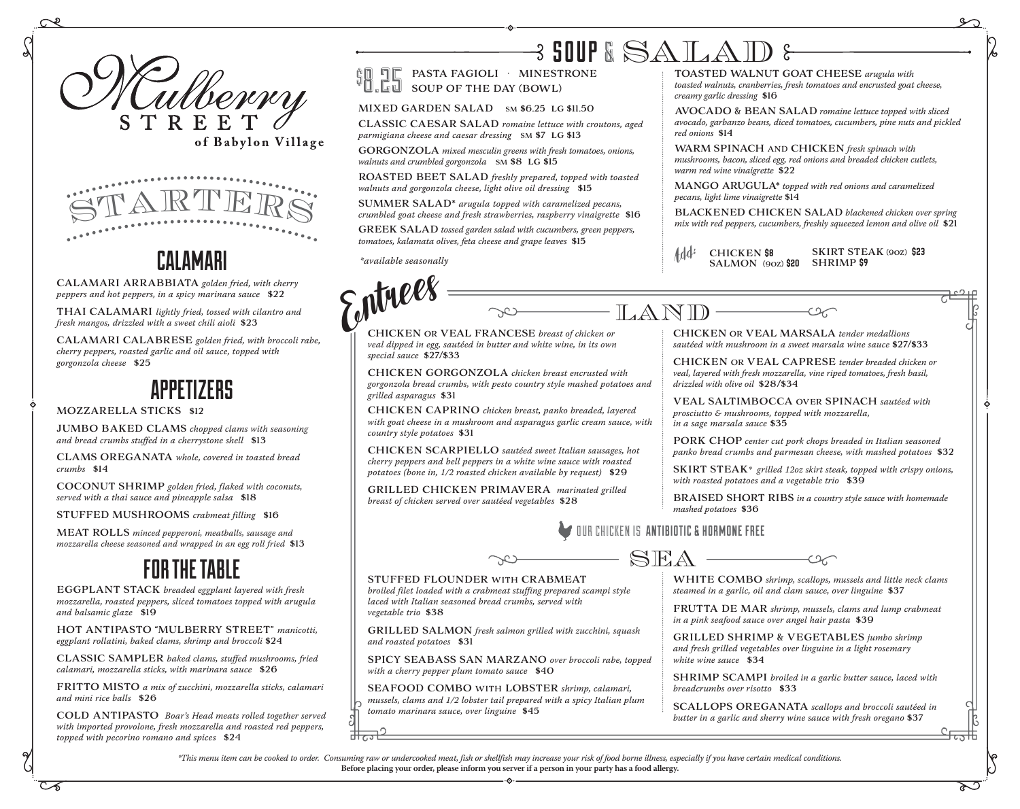



## CALAMARI

CALAMARI ARRABBIATA *golden fried, with cherry peppers and hot peppers, in a spicy marinara sauce* \$22

THAI CALAMARI *lightly fried, tossed with cilantro and fresh mangos, drizzled with a sweet chili aioli* \$23

CALAMARI CALABRESE *golden fried, with broccoli rabe, cherry peppers, roasted garlic and oil sauce, topped with gorgonzola cheese* \$25

## APPETIZERS

#### MOZZARELLA STICKS \$12

JUMBO BAKED CLAMS *chopped clams with seasoning and bread crumbs stuffed in a cherrystone shell* \$13

CLAMS OREGANATA *whole, covered in toasted bread crumbs* \$14

COCONUT SHRIMP *golden fried, flaked with coconuts, served with a thai sauce and pineapple salsa* \$18

STUFFED MUSHROOMS *crabmeat filling* \$16

MEAT ROLLS *minced pepperoni, meatballs, sausage and mozzarella cheese seasoned and wrapped in an egg roll fried* \$13

## FOR THE TABLE

EGGPLANT STACK *breaded eggplant layered with fresh mozzarella, roasted peppers, sliced tomatoes topped with arugula and balsamic glaze* \$19

HOT ANTIPASTO "MULBERRY STREET" *manicotti, eggplant rollatini, baked clams, shrimp and broccoli* \$24

CLASSIC SAMPLER *baked clams, stuffed mushrooms, fried calamari, mozzarella sticks, with marinara sauce* \$26

FRITTO MISTO *a mix of zucchini, mozzarella sticks, calamari and mini rice balls* \$26

COLD ANTIPASTO *Boar's Head meats rolled together served with imported provolone, fresh mozzarella and roasted red peppers, topped with pecorino romano and spices* \$24

# $\beta$  SOUP & SALAD

PASTA FAGIOLI · MINESTRONE **O DE PASTA FAGIOLI · MINEST<br>
COUP OF THE DAY (BOWL)** 

#### MIXED GARDEN SALAD SM \$6.25 LG \$11.50

CLASSIC CAESAR SALAD *romaine lettuce with croutons, aged parmigiana cheese and caesar dressing* SM \$7 LG \$13

GORGONZOLA *mixed mesculin greens with fresh tomatoes, onions, walnuts and crumbled gorgonzola* SM \$8 LG \$15

ROASTED BEET SALAD *freshly prepared, topped with toasted walnuts and gorgonzola cheese, light olive oil dressing* \$15

SUMMER SALAD\* *arugula topped with caramelized pecans, crumbled goat cheese and fresh strawberries, raspberry vinaigrette* \$16

GREEK SALAD *tossed garden salad with cucumbers, green peppers, tomatoes, kalamata olives, feta cheese and grape leaves* \$15

*\*available seasonally*

*vegetable trio* \$38

*and roasted potatoes* \$31



\$

 $\begin{array}{c} \mathbf{W} \end{array}$ <br>CHICKEN OR VEAL FRANCESE breast of chicken or  $\begin{array}{c} \begin{array}{c} \text{LAMID} \end{array} \end{array}$ 

*veal dipped in egg, sautéed in butter and white wine, in its own special sauce* \$27/\$33

CHICKEN GORGONZOLA *chicken breast encrusted with gorgonzola bread crumbs, with pesto country style mashed potatoes and grilled asparagus* \$31

CHICKEN CAPRINO *chicken breast, panko breaded, layered with goat cheese in a mushroom and asparagus garlic cream sauce, with country style potatoes* \$31

CHICKEN SCARPIELLO *sautéed sweet Italian sausages, hot cherry peppers and bell peppers in a white wine sauce with roasted potatoes (bone in, 1/2 roasted chicken available by request)* \$29

GRILLED CHICKEN PRIMAVERA *marinated grilled breast of chicken served over sautéed vegetables* \$28

TOASTED WALNUT GOAT CHEESE *arugula with toasted walnuts, cranberries, fresh tomatoes and encrusted goat cheese, creamy garlic dressing* \$16

AVOCADO & BEAN SALAD *romaine lettuce topped with sliced avocado, garbanzo beans, diced tomatoes, cucumbers, pine nuts and pickled red onions* \$14

WARM SPINACH AND CHICKEN *fresh spinach with mushrooms, bacon, sliced egg, red onions and breaded chicken cutlets, warm red wine vinaigrette* \$22

MANGO ARUGULA\* *topped with red onions and caramelized pecans, light lime vinaigrette* \$14

BLACKENED CHICKEN SALAD *blackened chicken over spring mix with red peppers, cucumbers, freshly squeezed lemon and olive oil* \$21

 $\infty$ 

SKIRT STEAK (9oz) \$23 Add<sup>:</sup> CHICKEN **\$8** SKIRT STE<br>SALMON (90z) **\$20** SHRIMP **\$9** 

CHICKEN OR VEAL MARSALA *tender medallions sautéed with mushroom in a sweet marsala wine sauce* \$27/\$33

CHICKEN OR VEAL CAPRESE *tender breaded chicken or veal, layered with fresh mozzarella, vine riped tomatoes, fresh basil, drizzled with olive oil* \$28/\$34

VEAL SALTIMBOCCA OVER SPINACH *sautéed with prosciutto & mushrooms, topped with mozzarella, in a sage marsala sauce* \$35

PORK CHOP *center cut pork chops breaded in Italian seasoned panko bread crumbs and parmesan cheese, with mashed potatoes* \$32

SKIRT STEAK*\* grilled 12oz skirt steak, topped with crispy onions, with roasted potatoes and a vegetable trio* \$39

BRAISED SHORT RIBS *in a country style sauce with homemade mashed potatoes* \$36

*butter in a garlic and sherry wine sauce with fresh oregano* \$37

SEA STUFFED FLOUNDER WITH CRABMEAT *broiled filet loaded with a crabmeat stuffing prepared scampi style laced with Italian seasoned bread crumbs, served with*  GRILLED SALMON *fresh salmon grilled with zucchini, squash*  SPICY SEABASS SAN MARZANO *over broccoli rabe, topped with a cherry pepper plum tomato sauce* \$40 SEAFOOD COMBO WITH LOBSTER *shrimp, calamari, mussels, clams and 1/2 lobster tail prepared with a spicy Italian plum tomato marinara sauce, over linguine* \$45 WHITE COMBO *shrimp, scallops, mussels and little neck clams steamed in a garlic, oil and clam sauce, over linguine* \$37 FRUTTA DE MAR *shrimp, mussels, clams and lump crabmeat in a pink seafood sauce over angel hair pasta* \$39 GRILLED SHRIMP & VEGETABLES *jumbo shrimp and fresh grilled vegetables over linguine in a light rosemary white wine sauce* \$34 SHRIMP SCAMPI *broiled in a garlic butter sauce, laced with breadcrumbs over risotto* \$33 SCALLOPS OREGANATA *scallops and broccoli sautéed in*  OUR CHICKEN IS ANTIBIOTIC & HORMONE FREE

*\*This menu item can be cooked to order. Consuming raw or undercooked meat, fish or shellfish may increase your risk of food borne illness, especially if you have certain medical conditions.*  **Before placing your order, please inform you server if a person in your party has a food allergy.**

CT